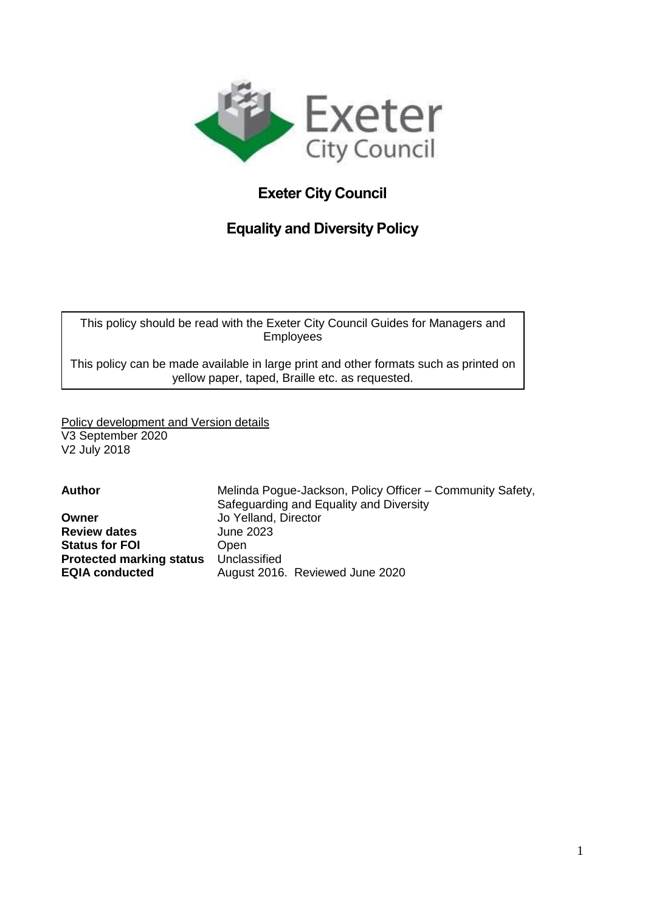

# **Exeter City Council**

# **Equality and Diversity Policy**

This policy should be read with the Exeter City Council Guides for Managers and Employees

This policy can be made available in large print and other formats such as printed on yellow paper, taped, Braille etc. as requested.

Policy development and Version details V3 September 2020 V2 July 2018

| Melinda Pogue-Jackson, Policy Officer - Community Safety, |
|-----------------------------------------------------------|
| Safeguarding and Equality and Diversity                   |
| Jo Yelland, Director                                      |
| June 2023                                                 |
| <b>Open</b>                                               |
| Unclassified                                              |
| August 2016. Reviewed June 2020                           |
|                                                           |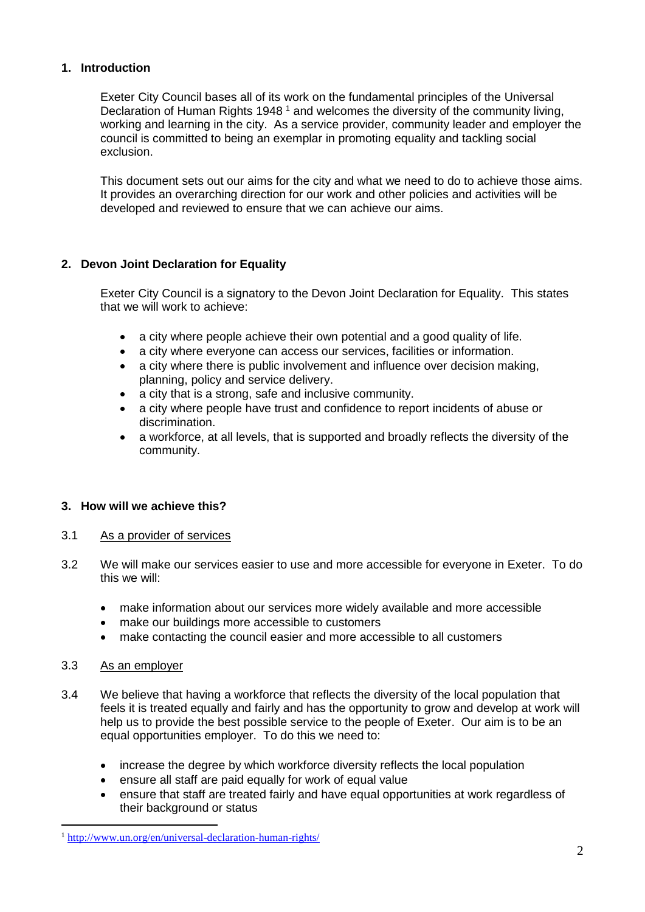# **1. Introduction**

Exeter City Council bases all of its work on the fundamental principles of the Universal Declaration of Human Rights 1948<sup>1</sup> and welcomes the diversity of the community living, working and learning in the city. As a service provider, community leader and employer the council is committed to being an exemplar in promoting equality and tackling social exclusion.

This document sets out our aims for the city and what we need to do to achieve those aims. It provides an overarching direction for our work and other policies and activities will be developed and reviewed to ensure that we can achieve our aims.

# **2. Devon Joint Declaration for Equality**

Exeter City Council is a signatory to the Devon Joint Declaration for Equality. This states that we will work to achieve:

- a city where people achieve their own potential and a good quality of life.
- a city where everyone can access our services, facilities or information.
- a city where there is public involvement and influence over decision making, planning, policy and service delivery.
- a city that is a strong, safe and inclusive community.
- a city where people have trust and confidence to report incidents of abuse or discrimination.
- a workforce, at all levels, that is supported and broadly reflects the diversity of the community.

# **3. How will we achieve this?**

# 3.1 As a provider of services

- 3.2 We will make our services easier to use and more accessible for everyone in Exeter. To do this we will:
	- make information about our services more widely available and more accessible
	- make our buildings more accessible to customers
	- make contacting the council easier and more accessible to all customers

# 3.3 As an employer

1

- 3.4 We believe that having a workforce that reflects the diversity of the local population that feels it is treated equally and fairly and has the opportunity to grow and develop at work will help us to provide the best possible service to the people of Exeter. Our aim is to be an equal opportunities employer. To do this we need to:
	- increase the degree by which workforce diversity reflects the local population
	- ensure all staff are paid equally for work of equal value
	- ensure that staff are treated fairly and have equal opportunities at work regardless of their background or status

<sup>1</sup> <http://www.un.org/en/universal-declaration-human-rights/>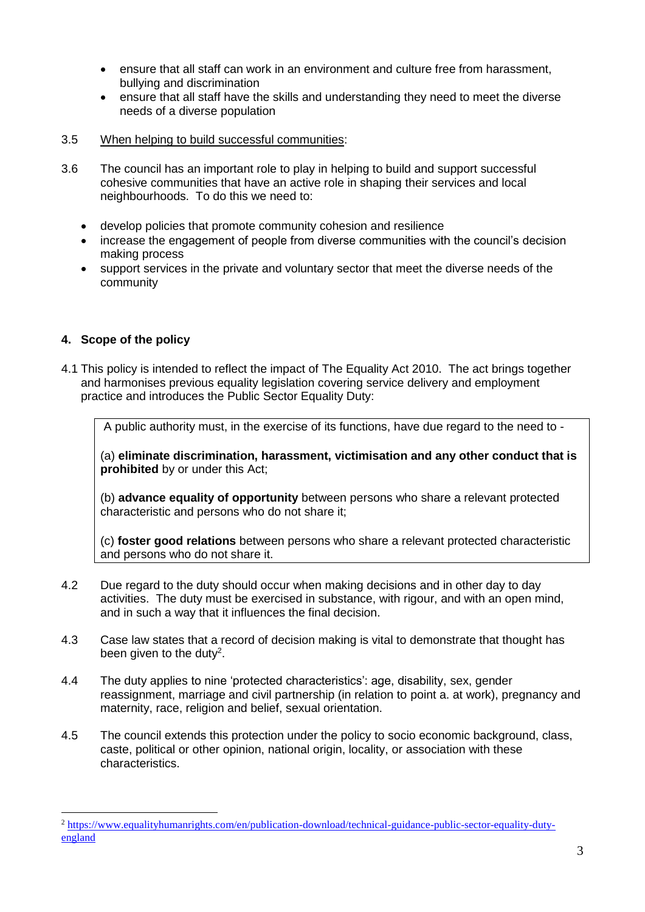- ensure that all staff can work in an environment and culture free from harassment, bullying and discrimination
- ensure that all staff have the skills and understanding they need to meet the diverse needs of a diverse population
- 3.5 When helping to build successful communities:
- 3.6 The council has an important role to play in helping to build and support successful cohesive communities that have an active role in shaping their services and local neighbourhoods. To do this we need to:
	- develop policies that promote community cohesion and resilience
	- increase the engagement of people from diverse communities with the council's decision making process
	- support services in the private and voluntary sector that meet the diverse needs of the community

# **4. Scope of the policy**

1

4.1 This policy is intended to reflect the impact of The Equality Act 2010. The act brings together and harmonises previous equality legislation covering service delivery and employment practice and introduces the Public Sector Equality Duty:

A public authority must, in the exercise of its functions, have due regard to the need to -

(a) **eliminate discrimination, harassment, victimisation and any other conduct that is prohibited** by or under this Act;

(b) **advance equality of opportunity** between persons who share a relevant protected characteristic and persons who do not share it;

(c) **foster good relations** between persons who share a relevant protected characteristic and persons who do not share it.

- 4.2 Due regard to the duty should occur when making decisions and in other day to day activities. The duty must be exercised in substance, with rigour, and with an open mind, and in such a way that it influences the final decision.
- 4.3 Case law states that a record of decision making is vital to demonstrate that thought has been given to the duty<sup>2</sup>.
- 4.4 The duty applies to nine 'protected characteristics': age, disability, sex, gender reassignment, marriage and civil partnership (in relation to point a. at work), pregnancy and maternity, race, religion and belief, sexual orientation.
- 4.5 The council extends this protection under the policy to socio economic background, class, caste, political or other opinion, national origin, locality, or association with these characteristics.

<sup>2</sup> [https://www.equalityhumanrights.com/en/publication-download/technical-guidance-public-sector-equality-duty](https://www.equalityhumanrights.com/en/publication-download/technical-guidance-public-sector-equality-duty-england)[england](https://www.equalityhumanrights.com/en/publication-download/technical-guidance-public-sector-equality-duty-england)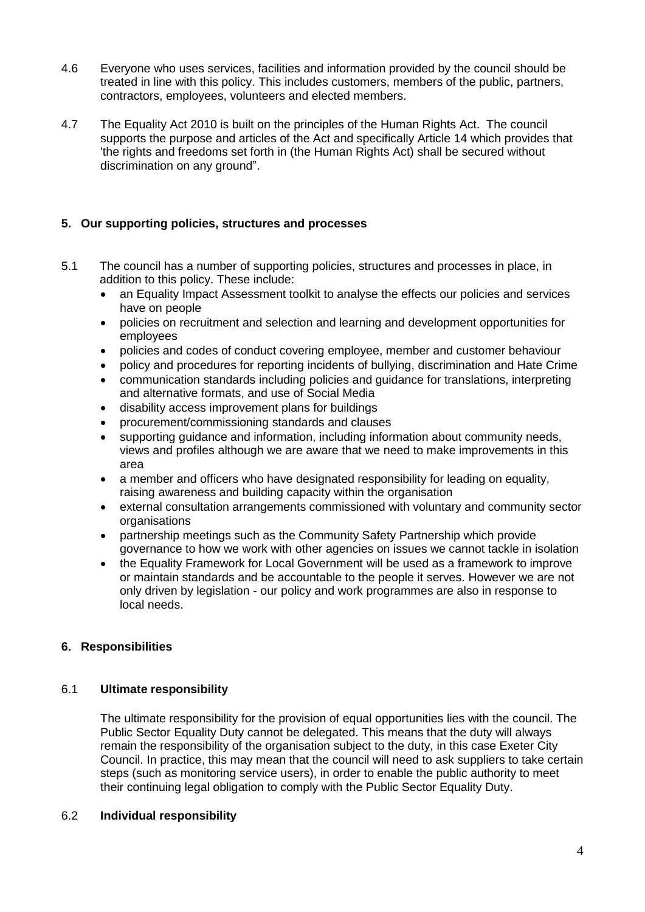- 4.6 Everyone who uses services, facilities and information provided by the council should be treated in line with this policy. This includes customers, members of the public, partners, contractors, employees, volunteers and elected members.
- 4.7 The Equality Act 2010 is built on the principles of the Human Rights Act. The council supports the purpose and articles of the Act and specifically Article 14 which provides that 'the rights and freedoms set forth in (the Human Rights Act) shall be secured without discrimination on any ground".

# **5. Our supporting policies, structures and processes**

- 5.1 The council has a number of supporting policies, structures and processes in place, in addition to this policy. These include:
	- an Equality Impact Assessment toolkit to analyse the effects our policies and services have on people
	- policies on recruitment and selection and learning and development opportunities for employees
	- policies and codes of conduct covering employee, member and customer behaviour
	- policy and procedures for reporting incidents of bullying, discrimination and Hate Crime
	- communication standards including policies and guidance for translations, interpreting and alternative formats, and use of Social Media
	- disability access improvement plans for buildings
	- procurement/commissioning standards and clauses
	- supporting guidance and information, including information about community needs, views and profiles although we are aware that we need to make improvements in this area
	- a member and officers who have designated responsibility for leading on equality, raising awareness and building capacity within the organisation
	- external consultation arrangements commissioned with voluntary and community sector organisations
	- partnership meetings such as the Community Safety Partnership which provide governance to how we work with other agencies on issues we cannot tackle in isolation
	- the Equality Framework for Local Government will be used as a framework to improve or maintain standards and be accountable to the people it serves. However we are not only driven by legislation - our policy and work programmes are also in response to local needs.

# **6. Responsibilities**

# 6.1 **Ultimate responsibility**

The ultimate responsibility for the provision of equal opportunities lies with the council. The Public Sector Equality Duty cannot be delegated. This means that the duty will always remain the responsibility of the organisation subject to the duty, in this case Exeter City Council. In practice, this may mean that the council will need to ask suppliers to take certain steps (such as monitoring service users), in order to enable the public authority to meet their continuing legal obligation to comply with the Public Sector Equality Duty.

# 6.2 **Individual responsibility**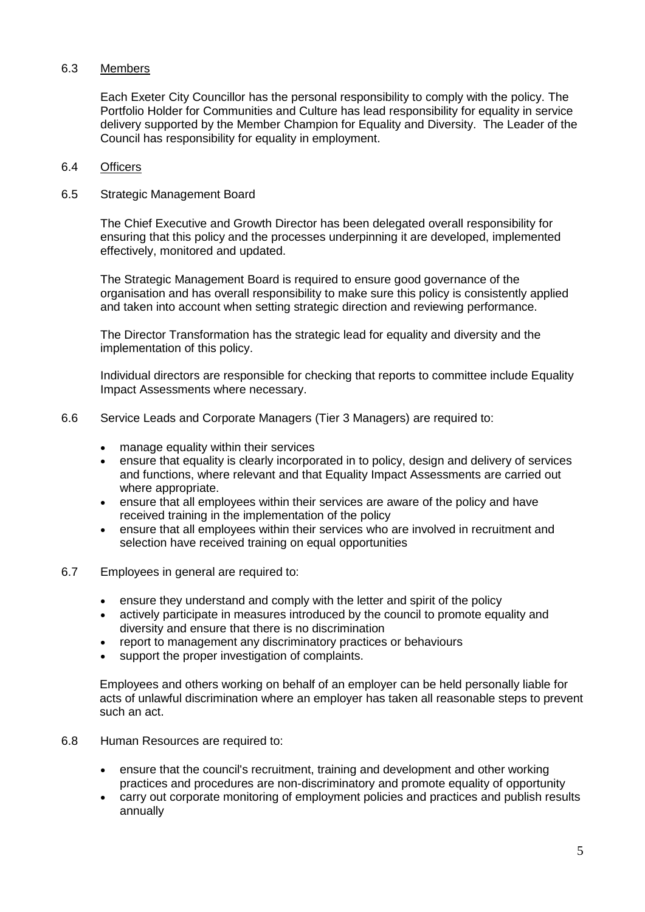# 6.3 Members

Each Exeter City Councillor has the personal responsibility to comply with the policy. The Portfolio Holder for Communities and Culture has lead responsibility for equality in service delivery supported by the Member Champion for Equality and Diversity. The Leader of the Council has responsibility for equality in employment.

#### 6.4 Officers

#### 6.5 Strategic Management Board

The Chief Executive and Growth Director has been delegated overall responsibility for ensuring that this policy and the processes underpinning it are developed, implemented effectively, monitored and updated.

The Strategic Management Board is required to ensure good governance of the organisation and has overall responsibility to make sure this policy is consistently applied and taken into account when setting strategic direction and reviewing performance.

The Director Transformation has the strategic lead for equality and diversity and the implementation of this policy.

Individual directors are responsible for checking that reports to committee include Equality Impact Assessments where necessary.

- 6.6 Service Leads and Corporate Managers (Tier 3 Managers) are required to:
	- manage equality within their services
	- ensure that equality is clearly incorporated in to policy, design and delivery of services and functions, where relevant and that Equality Impact Assessments are carried out where appropriate.
	- ensure that all employees within their services are aware of the policy and have received training in the implementation of the policy
	- ensure that all employees within their services who are involved in recruitment and selection have received training on equal opportunities
- 6.7 Employees in general are required to:
	- ensure they understand and comply with the letter and spirit of the policy
	- actively participate in measures introduced by the council to promote equality and diversity and ensure that there is no discrimination
	- report to management any discriminatory practices or behaviours
	- support the proper investigation of complaints.

Employees and others working on behalf of an employer can be held personally liable for acts of unlawful discrimination where an employer has taken all reasonable steps to prevent such an act.

- 6.8 Human Resources are required to:
	- ensure that the council's recruitment, training and development and other working practices and procedures are non-discriminatory and promote equality of opportunity
	- carry out corporate monitoring of employment policies and practices and publish results annually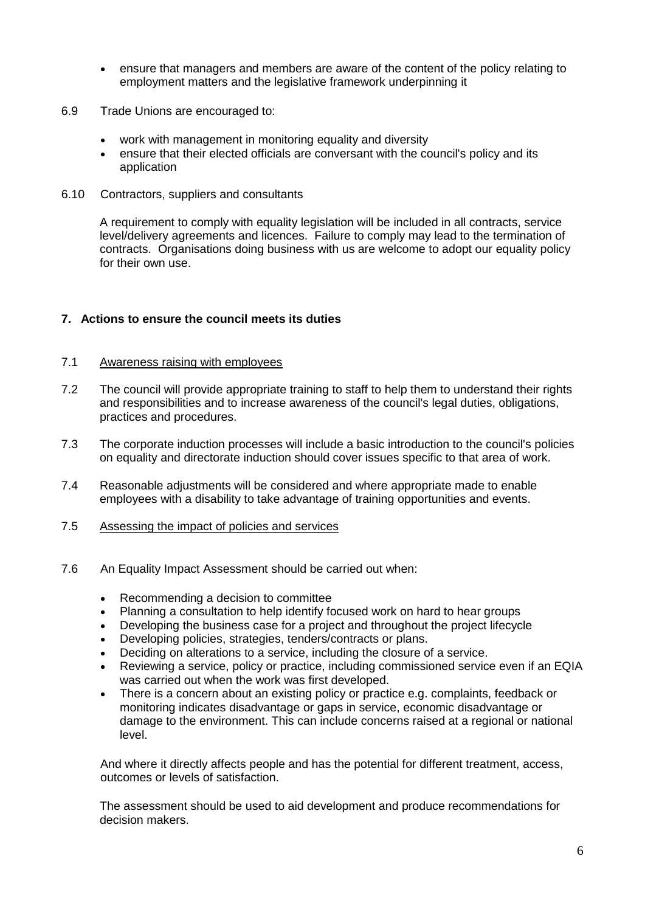- ensure that managers and members are aware of the content of the policy relating to employment matters and the legislative framework underpinning it
- 6.9 Trade Unions are encouraged to:
	- work with management in monitoring equality and diversity
	- ensure that their elected officials are conversant with the council's policy and its application
- 6.10 Contractors, suppliers and consultants

A requirement to comply with equality legislation will be included in all contracts, service level/delivery agreements and licences. Failure to comply may lead to the termination of contracts. Organisations doing business with us are welcome to adopt our equality policy for their own use.

# **7. Actions to ensure the council meets its duties**

#### 7.1 Awareness raising with employees

- 7.2 The council will provide appropriate training to staff to help them to understand their rights and responsibilities and to increase awareness of the council's legal duties, obligations, practices and procedures.
- 7.3 The corporate induction processes will include a basic introduction to the council's policies on equality and directorate induction should cover issues specific to that area of work.
- 7.4 Reasonable adjustments will be considered and where appropriate made to enable employees with a disability to take advantage of training opportunities and events.
- 7.5 Assessing the impact of policies and services
- 7.6 An Equality Impact Assessment should be carried out when:
	- Recommending a decision to committee
	- Planning a consultation to help identify focused work on hard to hear groups
	- Developing the business case for a project and throughout the project lifecycle
	- Developing policies, strategies, tenders/contracts or plans.
	- Deciding on alterations to a service, including the closure of a service.
	- Reviewing a service, policy or practice, including commissioned service even if an EQIA was carried out when the work was first developed.
	- There is a concern about an existing policy or practice e.g. complaints, feedback or monitoring indicates disadvantage or gaps in service, economic disadvantage or damage to the environment. This can include concerns raised at a regional or national level.

And where it directly affects people and has the potential for different treatment, access, outcomes or levels of satisfaction.

The assessment should be used to aid development and produce recommendations for decision makers.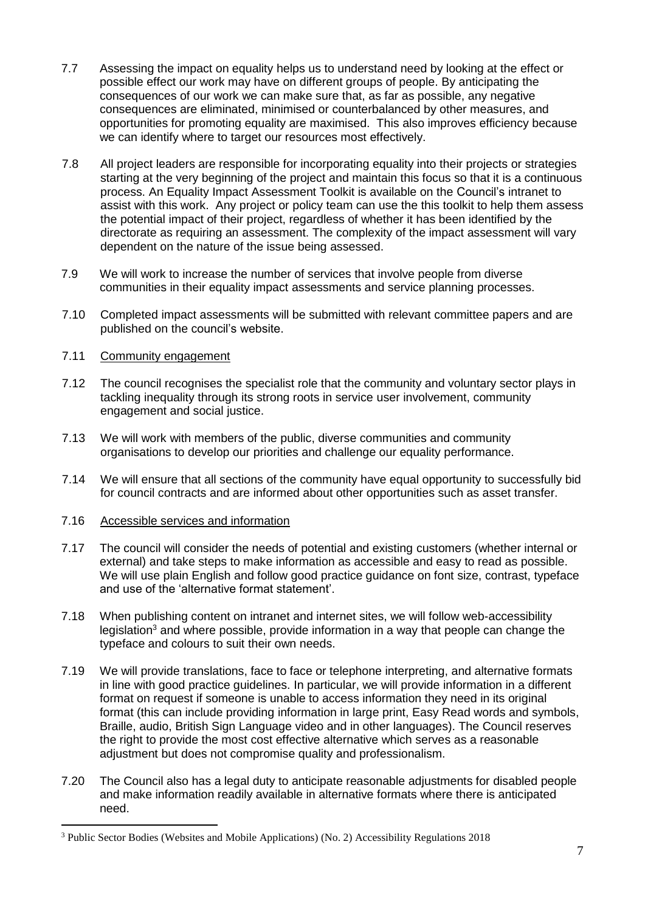- 7.7 Assessing the impact on equality helps us to understand need by looking at the effect or possible effect our work may have on different groups of people. By anticipating the consequences of our work we can make sure that, as far as possible, any negative consequences are eliminated, minimised or counterbalanced by other measures, and opportunities for promoting equality are maximised. This also improves efficiency because we can identify where to target our resources most effectively.
- 7.8 All project leaders are responsible for incorporating equality into their projects or strategies starting at the very beginning of the project and maintain this focus so that it is a continuous process. An Equality Impact Assessment Toolkit is available on the Council's intranet to assist with this work. Any project or policy team can use the this toolkit to help them assess the potential impact of their project, regardless of whether it has been identified by the directorate as requiring an assessment. The complexity of the impact assessment will vary dependent on the nature of the issue being assessed.
- 7.9 We will work to increase the number of services that involve people from diverse communities in their equality impact assessments and service planning processes.
- 7.10 Completed impact assessments will be submitted with relevant committee papers and are published on the council's website.

# 7.11 Community engagement

- 7.12 The council recognises the specialist role that the community and voluntary sector plays in tackling inequality through its strong roots in service user involvement, community engagement and social justice.
- 7.13 We will work with members of the public, diverse communities and community organisations to develop our priorities and challenge our equality performance.
- 7.14 We will ensure that all sections of the community have equal opportunity to successfully bid for council contracts and are informed about other opportunities such as asset transfer.

# 7.16 Accessible services and information

1

- 7.17 The council will consider the needs of potential and existing customers (whether internal or external) and take steps to make information as accessible and easy to read as possible. We will use plain English and follow good practice guidance on font size, contrast, typeface and use of the 'alternative format statement'.
- 7.18 When publishing content on intranet and internet sites, we will follow web-accessibility legislation<sup>3</sup> and where possible, provide information in a way that people can change the typeface and colours to suit their own needs.
- 7.19 We will provide translations, face to face or telephone interpreting, and alternative formats in line with good practice guidelines. In particular, we will provide information in a different format on request if someone is unable to access information they need in its original format (this can include providing information in large print, Easy Read words and symbols, Braille, audio, British Sign Language video and in other languages). The Council reserves the right to provide the most cost effective alternative which serves as a reasonable adjustment but does not compromise quality and professionalism.
- 7.20 The Council also has a legal duty to anticipate reasonable adjustments for disabled people and make information readily available in alternative formats where there is anticipated need.

<sup>3</sup> Public Sector Bodies (Websites and Mobile Applications) (No. 2) Accessibility Regulations 2018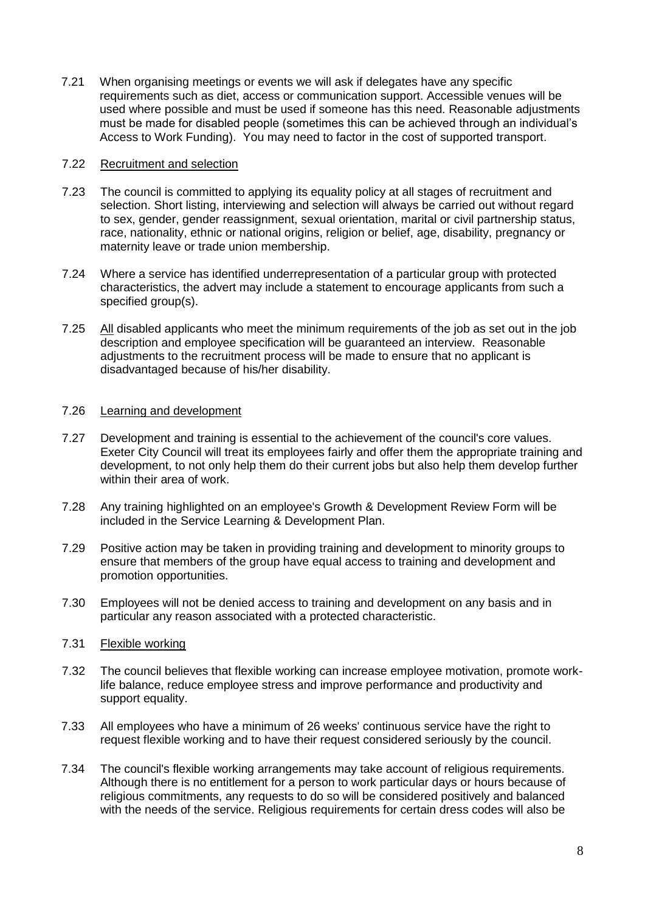7.21 When organising meetings or events we will ask if delegates have any specific requirements such as diet, access or communication support. Accessible venues will be used where possible and must be used if someone has this need. Reasonable adjustments must be made for disabled people (sometimes this can be achieved through an individual's Access to Work Funding). You may need to factor in the cost of supported transport.

## 7.22 Recruitment and selection

- 7.23 The council is committed to applying its equality policy at all stages of recruitment and selection. Short listing, interviewing and selection will always be carried out without regard to sex, gender, gender reassignment, sexual orientation, marital or civil partnership status, race, nationality, ethnic or national origins, religion or belief, age, disability, pregnancy or maternity leave or trade union membership.
- 7.24 Where a service has identified underrepresentation of a particular group with protected characteristics, the advert may include a statement to encourage applicants from such a specified group(s).
- 7.25 All disabled applicants who meet the minimum requirements of the job as set out in the job description and employee specification will be guaranteed an interview. Reasonable adjustments to the recruitment process will be made to ensure that no applicant is disadvantaged because of his/her disability.

#### 7.26 Learning and development

- 7.27 Development and training is essential to the achievement of the council's core values. Exeter City Council will treat its employees fairly and offer them the appropriate training and development, to not only help them do their current jobs but also help them develop further within their area of work.
- 7.28 Any training highlighted on an employee's Growth & Development Review Form will be included in the Service Learning & Development Plan.
- 7.29 Positive action may be taken in providing training and development to minority groups to ensure that members of the group have equal access to training and development and promotion opportunities.
- 7.30 Employees will not be denied access to training and development on any basis and in particular any reason associated with a protected characteristic.

# 7.31 Flexible working

- 7.32 The council believes that flexible working can increase employee motivation, promote worklife balance, reduce employee stress and improve performance and productivity and support equality.
- 7.33 All employees who have a minimum of 26 weeks' continuous service have the right to request flexible working and to have their request considered seriously by the council.
- 7.34 The council's flexible working arrangements may take account of religious requirements. Although there is no entitlement for a person to work particular days or hours because of religious commitments, any requests to do so will be considered positively and balanced with the needs of the service. Religious requirements for certain dress codes will also be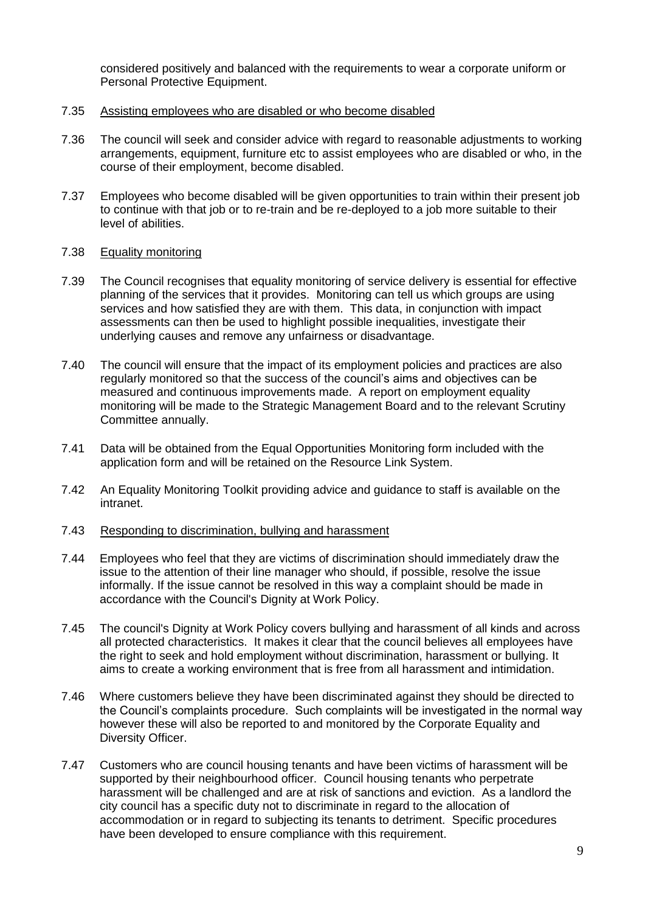considered positively and balanced with the requirements to wear a corporate uniform or Personal Protective Equipment.

- 7.35 Assisting employees who are disabled or who become disabled
- 7.36 The council will seek and consider advice with regard to reasonable adjustments to working arrangements, equipment, furniture etc to assist employees who are disabled or who, in the course of their employment, become disabled.
- 7.37 Employees who become disabled will be given opportunities to train within their present job to continue with that job or to re-train and be re-deployed to a job more suitable to their level of abilities.

#### 7.38 Equality monitoring

- 7.39 The Council recognises that equality monitoring of service delivery is essential for effective planning of the services that it provides. Monitoring can tell us which groups are using services and how satisfied they are with them. This data, in conjunction with impact assessments can then be used to highlight possible inequalities, investigate their underlying causes and remove any unfairness or disadvantage.
- 7.40 The council will ensure that the impact of its employment policies and practices are also regularly monitored so that the success of the council's aims and objectives can be measured and continuous improvements made. A report on employment equality monitoring will be made to the Strategic Management Board and to the relevant Scrutiny Committee annually.
- 7.41 Data will be obtained from the Equal Opportunities Monitoring form included with the application form and will be retained on the Resource Link System.
- 7.42 An Equality Monitoring Toolkit providing advice and guidance to staff is available on the intranet.

# 7.43 Responding to discrimination, bullying and harassment

- 7.44 Employees who feel that they are victims of discrimination should immediately draw the issue to the attention of their line manager who should, if possible, resolve the issue informally. If the issue cannot be resolved in this way a complaint should be made in accordance with the Council's Dignity at Work Policy.
- 7.45 The council's Dignity at Work Policy covers bullying and harassment of all kinds and across all protected characteristics. It makes it clear that the council believes all employees have the right to seek and hold employment without discrimination, harassment or bullying. It aims to create a working environment that is free from all harassment and intimidation.
- 7.46 Where customers believe they have been discriminated against they should be directed to the Council's complaints procedure. Such complaints will be investigated in the normal way however these will also be reported to and monitored by the Corporate Equality and Diversity Officer.
- 7.47 Customers who are council housing tenants and have been victims of harassment will be supported by their neighbourhood officer. Council housing tenants who perpetrate harassment will be challenged and are at risk of sanctions and eviction. As a landlord the city council has a specific duty not to discriminate in regard to the allocation of accommodation or in regard to subjecting its tenants to detriment. Specific procedures have been developed to ensure compliance with this requirement.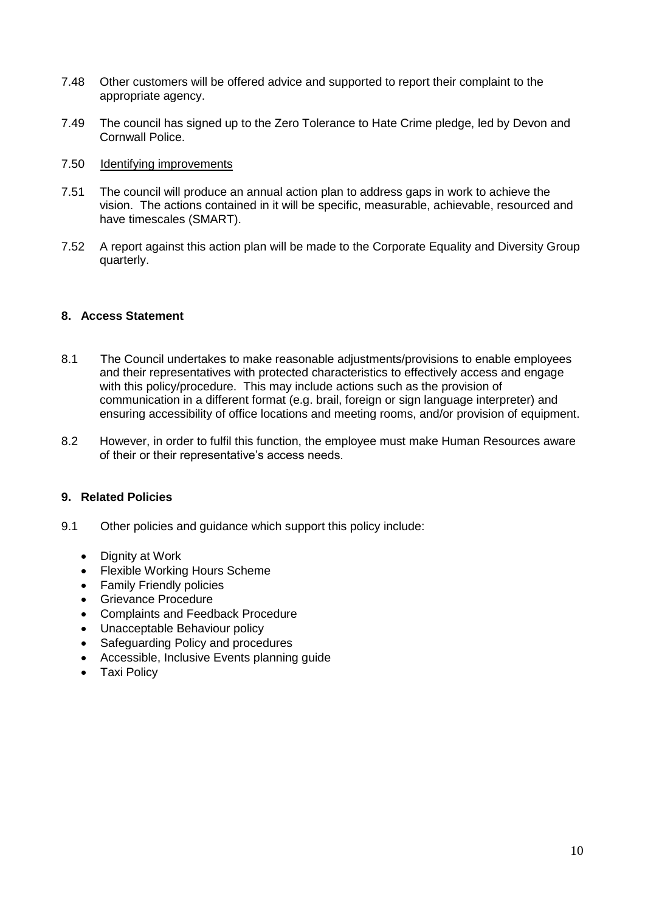- 7.48 Other customers will be offered advice and supported to report their complaint to the appropriate agency.
- 7.49 The council has signed up to the Zero Tolerance to Hate Crime pledge, led by Devon and Cornwall Police.

## 7.50 Identifying improvements

- 7.51 The council will produce an annual action plan to address gaps in work to achieve the vision. The actions contained in it will be specific, measurable, achievable, resourced and have timescales (SMART).
- 7.52 A report against this action plan will be made to the Corporate Equality and Diversity Group quarterly.

#### **8. Access Statement**

- 8.1 The Council undertakes to make reasonable adjustments/provisions to enable employees and their representatives with protected characteristics to effectively access and engage with this policy/procedure. This may include actions such as the provision of communication in a different format (e.g. brail, foreign or sign language interpreter) and ensuring accessibility of office locations and meeting rooms, and/or provision of equipment.
- 8.2 However, in order to fulfil this function, the employee must make Human Resources aware of their or their representative's access needs.

# **9. Related Policies**

- 9.1 Other policies and guidance which support this policy include:
	- Dignity at Work
	- Flexible Working Hours Scheme
	- Family Friendly policies
	- **•** Grievance Procedure
	- Complaints and Feedback Procedure
	- Unacceptable Behaviour policy
	- Safeguarding Policy and procedures
	- Accessible, Inclusive Events planning quide
	- Taxi Policy